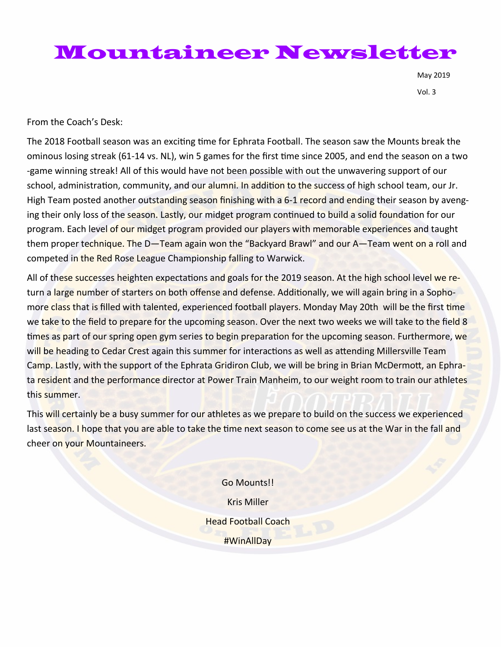## Mountaineer Newsletter

May 2019 Vol. 3

From the Coach's Desk:

The 2018 Football season was an exciting time for Ephrata Football. The season saw the Mounts break the ominous losing streak (61-14 vs. NL), win 5 games for the first time since 2005, and end the season on a two -game winning streak! All of this would have not been possible with out the unwavering support of our school, administration, community, and our alumni. In addition to the success of high school team, our Jr. High Team posted another outstanding season finishing with a 6-1 record and ending their season by avenging their only loss of the season. Lastly, our midget program continued to build a solid foundation for our program. Each level of our midget program provided our players with memorable experiences and taught them proper technique. The D—Team again won the "Backyard Brawl" and our A—Team went on a roll and competed in the Red Rose League Championship falling to Warwick.

All of these successes heighten expectations and goals for the 2019 season. At the high school level we return a large number of starters on both offense and defense. Additionally, we will again bring in a Sophomore class that is filled with talented, experienced football players. Monday May 20th will be the first time we take to the field to prepare for the upcoming season. Over the next two weeks we will take to the field 8 times as part of our spring open gym series to begin preparation for the upcoming season. Furthermore, we will be heading to Cedar Crest again this summer for interactions as well as attending Millersville Team Camp. Lastly, with the support of the Ephrata Gridiron Club, we will be bring in Brian McDermott, an Ephrata resident and the performance director at Power Train Manheim, to our weight room to train our athletes this summer.

This will certainly be a busy summer for our athletes as we prepare to build on the success we experienced last season. I hope that you are able to take the time next season to come see us at the War in the fall and cheer on your Mountaineers.

> Go Mounts!! Kris Miller Head Football Coach #WinAllDay